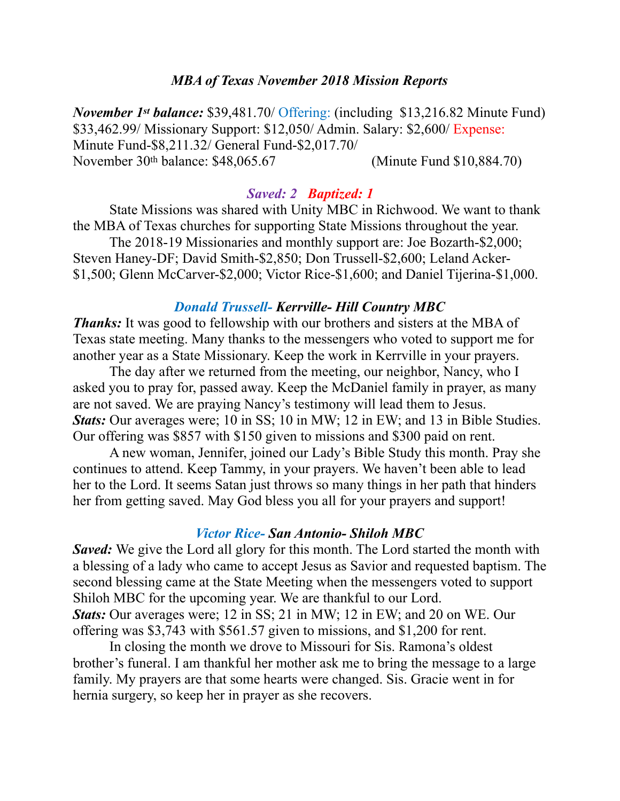### *MBA of Texas November 2018 Mission Reports*

*November 1st balance:* \$39,481.70/ Offering: (including \$13,216.82 Minute Fund) \$33,462.99/ Missionary Support: \$12,050/ Admin. Salary: \$2,600/ Expense: Minute Fund-\$8,211.32/ General Fund-\$2,017.70/ November 30th balance: \$48,065.67 (Minute Fund \$10,884.70)

## *Saved: 2 Baptized: 1*

 State Missions was shared with Unity MBC in Richwood. We want to thank the MBA of Texas churches for supporting State Missions throughout the year.

 The 2018-19 Missionaries and monthly support are: Joe Bozarth-\$2,000; Steven Haney-DF; David Smith-\$2,850; Don Trussell-\$2,600; Leland Acker- \$1,500; Glenn McCarver-\$2,000; Victor Rice-\$1,600; and Daniel Tijerina-\$1,000.

### *Donald Trussell- Kerrville- Hill Country MBC*

*Thanks:* It was good to fellowship with our brothers and sisters at the MBA of Texas state meeting. Many thanks to the messengers who voted to support me for another year as a State Missionary. Keep the work in Kerrville in your prayers.

 The day after we returned from the meeting, our neighbor, Nancy, who I asked you to pray for, passed away. Keep the McDaniel family in prayer, as many are not saved. We are praying Nancy's testimony will lead them to Jesus. *Stats:* Our averages were; 10 in SS; 10 in MW; 12 in EW; and 13 in Bible Studies. Our offering was \$857 with \$150 given to missions and \$300 paid on rent.

 A new woman, Jennifer, joined our Lady's Bible Study this month. Pray she continues to attend. Keep Tammy, in your prayers. We haven't been able to lead her to the Lord. It seems Satan just throws so many things in her path that hinders her from getting saved. May God bless you all for your prayers and support!

### *Victor Rice- San Antonio- Shiloh MBC*

*Saved:* We give the Lord all glory for this month. The Lord started the month with a blessing of a lady who came to accept Jesus as Savior and requested baptism. The second blessing came at the State Meeting when the messengers voted to support Shiloh MBC for the upcoming year. We are thankful to our Lord. *Stats:* Our averages were; 12 in SS; 21 in MW; 12 in EW; and 20 on WE. Our offering was \$3,743 with \$561.57 given to missions, and \$1,200 for rent.

 In closing the month we drove to Missouri for Sis. Ramona's oldest brother's funeral. I am thankful her mother ask me to bring the message to a large family. My prayers are that some hearts were changed. Sis. Gracie went in for hernia surgery, so keep her in prayer as she recovers.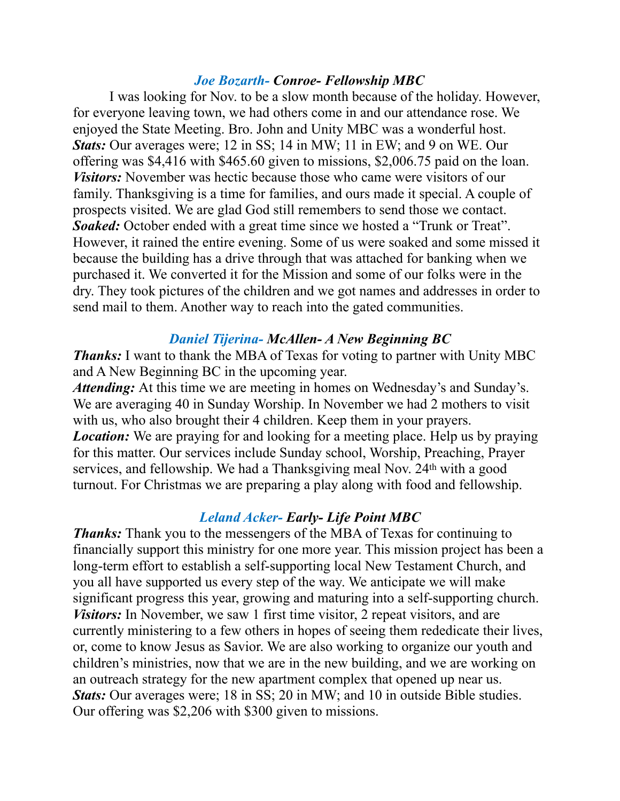### *Joe Bozarth- Conroe- Fellowship MBC*

 I was looking for Nov. to be a slow month because of the holiday. However, for everyone leaving town, we had others come in and our attendance rose. We enjoyed the State Meeting. Bro. John and Unity MBC was a wonderful host. *Stats:* Our averages were; 12 in SS; 14 in MW; 11 in EW; and 9 on WE. Our offering was \$4,416 with \$465.60 given to missions, \$2,006.75 paid on the loan. *Visitors:* November was hectic because those who came were visitors of our family. Thanksgiving is a time for families, and ours made it special. A couple of prospects visited. We are glad God still remembers to send those we contact. *Soaked:* October ended with a great time since we hosted a "Trunk or Treat". However, it rained the entire evening. Some of us were soaked and some missed it because the building has a drive through that was attached for banking when we purchased it. We converted it for the Mission and some of our folks were in the dry. They took pictures of the children and we got names and addresses in order to send mail to them. Another way to reach into the gated communities.

### *Daniel Tijerina- McAllen- A New Beginning BC*

*Thanks:* I want to thank the MBA of Texas for voting to partner with Unity MBC and A New Beginning BC in the upcoming year.

*Attending:* At this time we are meeting in homes on Wednesday's and Sunday's. We are averaging 40 in Sunday Worship. In November we had 2 mothers to visit with us, who also brought their 4 children. Keep them in your prayers. *Location:* We are praying for and looking for a meeting place. Help us by praying for this matter. Our services include Sunday school, Worship, Preaching, Prayer services, and fellowship. We had a Thanksgiving meal Nov. 24<sup>th</sup> with a good turnout. For Christmas we are preparing a play along with food and fellowship.

## *Leland Acker- Early- Life Point MBC*

*Thanks:* Thank you to the messengers of the MBA of Texas for continuing to financially support this ministry for one more year. This mission project has been a long-term effort to establish a self-supporting local New Testament Church, and you all have supported us every step of the way. We anticipate we will make significant progress this year, growing and maturing into a self-supporting church. *Visitors:* In November, we saw 1 first time visitor, 2 repeat visitors, and are currently ministering to a few others in hopes of seeing them rededicate their lives, or, come to know Jesus as Savior. We are also working to organize our youth and children's ministries, now that we are in the new building, and we are working on an outreach strategy for the new apartment complex that opened up near us. *Stats:* Our averages were; 18 in SS; 20 in MW; and 10 in outside Bible studies. Our offering was \$2,206 with \$300 given to missions.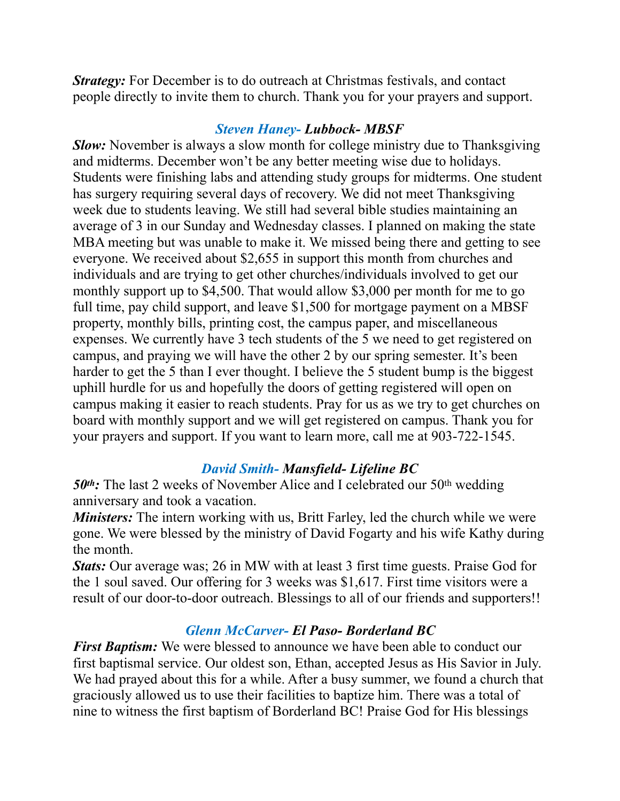*Strategy:* For December is to do outreach at Christmas festivals, and contact people directly to invite them to church. Thank you for your prayers and support.

# *Steven Haney- Lubbock- MBSF*

*Slow:* November is always a slow month for college ministry due to Thanksgiving and midterms. December won't be any better meeting wise due to holidays. Students were finishing labs and attending study groups for midterms. One student has surgery requiring several days of recovery. We did not meet Thanksgiving week due to students leaving. We still had several bible studies maintaining an average of 3 in our Sunday and Wednesday classes. I planned on making the state MBA meeting but was unable to make it. We missed being there and getting to see everyone. We received about \$2,655 in support this month from churches and individuals and are trying to get other churches/individuals involved to get our monthly support up to \$4,500. That would allow \$3,000 per month for me to go full time, pay child support, and leave \$1,500 for mortgage payment on a MBSF property, monthly bills, printing cost, the campus paper, and miscellaneous expenses. We currently have 3 tech students of the 5 we need to get registered on campus, and praying we will have the other 2 by our spring semester. It's been harder to get the 5 than I ever thought. I believe the 5 student bump is the biggest uphill hurdle for us and hopefully the doors of getting registered will open on campus making it easier to reach students. Pray for us as we try to get churches on board with monthly support and we will get registered on campus. Thank you for your prayers and support. If you want to learn more, call me at 903-722-1545.

# *David Smith- Mansfield- Lifeline BC*

50<sup>th</sup>: The last 2 weeks of November Alice and I celebrated our 50<sup>th</sup> wedding anniversary and took a vacation.

*Ministers:* The intern working with us, Britt Farley, led the church while we were gone. We were blessed by the ministry of David Fogarty and his wife Kathy during the month.

*Stats:* Our average was; 26 in MW with at least 3 first time guests. Praise God for the 1 soul saved. Our offering for 3 weeks was \$1,617. First time visitors were a result of our door-to-door outreach. Blessings to all of our friends and supporters!!

# *Glenn McCarver- El Paso- Borderland BC*

*First Baptism:* We were blessed to announce we have been able to conduct our first baptismal service. Our oldest son, Ethan, accepted Jesus as His Savior in July. We had prayed about this for a while. After a busy summer, we found a church that graciously allowed us to use their facilities to baptize him. There was a total of nine to witness the first baptism of Borderland BC! Praise God for His blessings